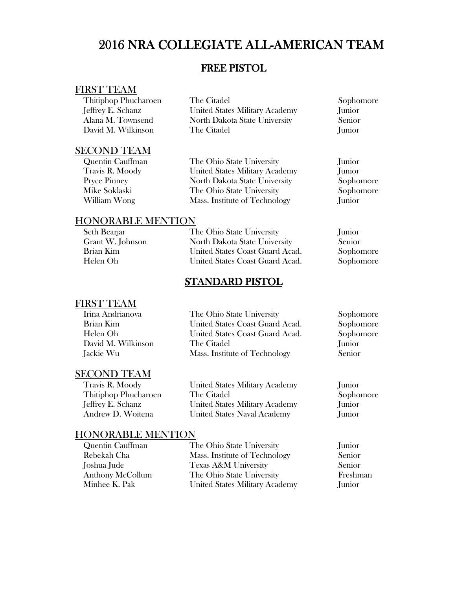### FREE PISTOL

### FIRST TEAM

| Thitiphop Phucharoen |
|----------------------|
| Jeffrey E. Schanz    |
| Alana M. Townsend    |
| David M. Wilkinson   |

The Citadel Sophomore<br>
United States Military Academy Sophomore<br>
Iunior United States Military Academy North Dakota State University Senior<br>The Citadel Iunior The Citadel

# **SECOND TEAM**<br>Quentin Cauffman

The Ohio State University Junior Travis R. Moody United States Military Academy Junior North Dakota State University Sophomore Mike Soklaski The Ohio State University Sophomore William Wong Mass. Institute of Technology Junior

### HONORABLE MENTION

| Seth Bearjar     | The Ohio State University       | Junior        |
|------------------|---------------------------------|---------------|
| Grant W. Johnson | North Dakota State University   | <b>Senior</b> |
| Brian Kim        | United States Coast Guard Acad. | Sophomore     |
| Helen Oh         | United States Coast Guard Acad. | Sophomore     |

### STANDARD PISTOL

### FIRST TEAM

| Irina Andrianova   | The Ohio State University       | Sophomore |
|--------------------|---------------------------------|-----------|
| Brian Kim          | United States Coast Guard Acad. | Sophomore |
| Helen Oh           | United States Coast Guard Acad. | Sophomore |
| David M. Wilkinson | The Citadel                     | Junior    |
| Jackie Wu          | Mass. Institute of Technology   | Senior    |
|                    |                                 |           |

### SECOND TEAM

Thitiphop Phucharoen The Citadel

 Travis R. Moody United States Military Academy Junior Jeffrey E. Schanz United States Military Academy Junior Andrew D. Woitena United States Naval Academy Junior

| Quentin Cauffman        | The Ohio State University      | Junior   |
|-------------------------|--------------------------------|----------|
| Rebekah Cha             | Mass. Institute of Technology  | Senior   |
| Joshua Jude             | Texas A&M University           | Senior   |
| <b>Anthony McCollum</b> | The Ohio State University      | Freshman |
| Minhee K. Pak           | United States Military Academy | Junior   |

- 
-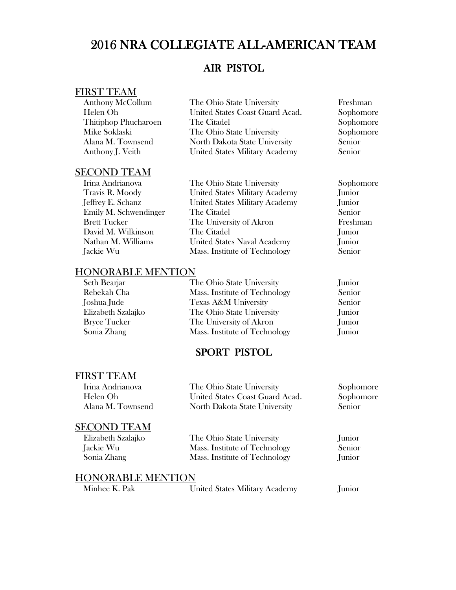### AIR PISTOL

### FIRST TEAM

| <b>Anthony McCollum</b> | The Ohio State University       | Freshman  |
|-------------------------|---------------------------------|-----------|
| Helen Oh                | United States Coast Guard Acad. | Sophomore |
| Thitiphop Phucharoen    | The Citadel                     | Sophomore |
| Mike Soklaski           | The Ohio State University       | Sophomore |
| Alana M. Townsend       | North Dakota State University   | Senior    |
| Anthony J. Veith        | United States Military Academy  | Senior    |
|                         |                                 |           |

### SECOND TEAM

| Irina Andrianova      |
|-----------------------|
| Travis R. Moody       |
| Jeffrey E. Schanz     |
| Emily M. Schwendinger |
| <b>Brett Tucker</b>   |
| David M. Wilkinson    |
| Nathan M. Williams    |
| Jackie Wu             |

### The Ohio State University Sophomore United States Military Academy Junior<br>
United States Military Academy Junior United States Military Academy r The Citadel Senior<br>The University of Akron Freshman The University of Akron The Citadel Junior United States Naval Academy Junior Jackie Wu Mass. Institute of Technology Senior

### HONORABLE MENTION

| Seth Bearjar        | The Ohio State University       | Junior |
|---------------------|---------------------------------|--------|
| Rebekah Cha         | Mass. Institute of Technology   | Senior |
| Joshua Jude         | <b>Texas A&amp;M University</b> | Senior |
| Elizabeth Szalajko  | The Ohio State University       | Junior |
| <b>Bryce Tucker</b> | The University of Akron         | Junior |
| Sonia Zhang         | Mass. Institute of Technology   | Junior |
|                     |                                 |        |

### SPORT PISTOL

### FIRST TEAM

| Irina Andrianova   | The Ohio State University       | Sophomore |
|--------------------|---------------------------------|-----------|
| Helen Oh           | United States Coast Guard Acad. | Sophomore |
| Alana M. Townsend  | North Dakota State University   | Senior    |
| <b>SECOND TEAM</b> |                                 |           |
| Elizabeth Szalajko | The Ohio State University       | Junior    |
| Jackie Wu          | Mass. Institute of Technology   | Senior    |
| Sonia Zhang        | Mass. Institute of Technology   | Junior    |

| Minhee K. Pak | United States Military Academy | Junior |
|---------------|--------------------------------|--------|
|---------------|--------------------------------|--------|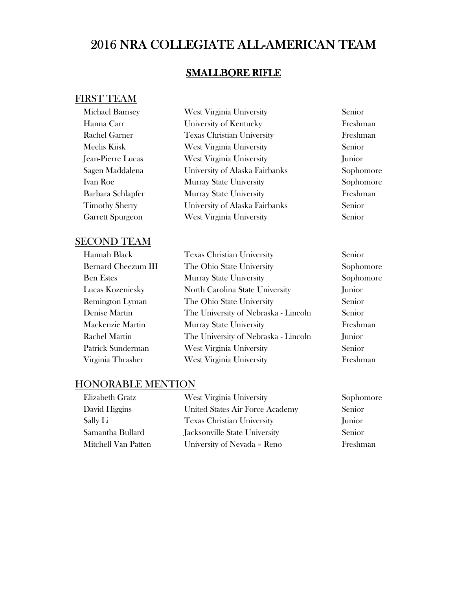### SMALLBORE RIFLE

### FIRST TEAM

| <b>Michael Bamsey</b>   | <b>West Virginia University</b>   | Senior    |
|-------------------------|-----------------------------------|-----------|
| Hanna Carr              | University of Kentucky            | Freshman  |
| Rachel Garner           | <b>Texas Christian University</b> | Freshman  |
| Meelis Kiisk            | West Virginia University          | Senior    |
| Jean-Pierre Lucas       | West Virginia University          | Junior    |
| Sagen Maddalena         | University of Alaska Fairbanks    | Sophomore |
| Ivan Roe                | <b>Murray State University</b>    | Sophomore |
| Barbara Schlapfer       | <b>Murray State University</b>    | Freshman  |
| <b>Timothy Sherry</b>   | University of Alaska Fairbanks    | Senior    |
| <b>Garrett Spurgeon</b> | <b>West Virginia University</b>   | Senior    |
|                         |                                   |           |

### SECOND TEAM

| Hannah Black           |
|------------------------|
| Bernard Cheezum III    |
| <b>Ben Estes</b>       |
| Lucas Kozeniesky       |
| <b>Remington Lyman</b> |
| Denise Martin          |
| Mackenzie Martin       |
| Rachel Martin          |
| Patrick Sunderman      |
| Virginia Thrasher      |

| Hannah Black               | <b>Texas Christian University</b>    | Senior        |
|----------------------------|--------------------------------------|---------------|
| <b>Bernard Cheezum III</b> | The Ohio State University            | Sophomor      |
| <b>Ben Estes</b>           | <b>Murray State University</b>       | Sophomor      |
| Lucas Kozeniesky           | North Carolina State University      | Junior        |
| <b>Remington Lyman</b>     | The Ohio State University            | <b>Senior</b> |
| Denise Martin              | The University of Nebraska - Lincoln | Senior        |
| Mackenzie Martin           | <b>Murray State University</b>       | Freshman      |
| Rachel Martin              | The University of Nebraska - Lincoln | Junior        |
| Patrick Sunderman          | West Virginia University             | Senior        |
| Virginia Thrasher          | West Virginia University             | Freshman      |

Sophomore Sophomore

| Elizabeth Gratz     | West Virginia University          | Sophomore |
|---------------------|-----------------------------------|-----------|
| David Higgins       | United States Air Force Academy   | Senior    |
| Sally Li            | <b>Texas Christian University</b> | Junior    |
| Samantha Bullard    | Jacksonville State University     | Senior    |
| Mitchell Van Patten | University of Nevada - Reno       | Freshman  |
|                     |                                   |           |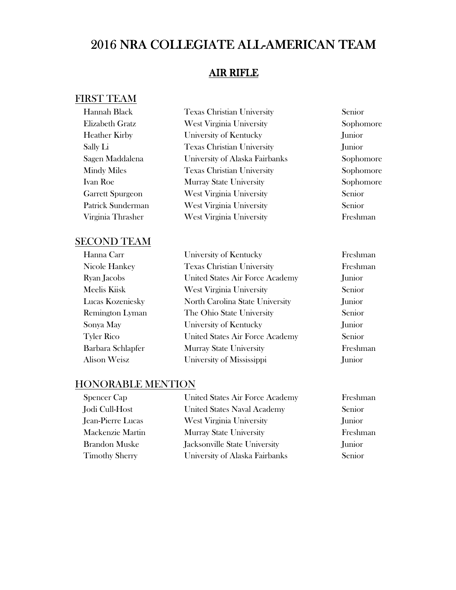### AIR RIFLE

### FIRST TEAM

| Hannah Black            | <b>Texas Christian University</b> | Senior        |
|-------------------------|-----------------------------------|---------------|
| Elizabeth Gratz         | West Virginia University          | Sophomore     |
| <b>Heather Kirby</b>    | University of Kentucky            | Junior        |
| Sally Li                | <b>Texas Christian University</b> | Junior        |
| Sagen Maddalena         | University of Alaska Fairbanks    | Sophomore     |
| <b>Mindy Miles</b>      | <b>Texas Christian University</b> | Sophomore     |
| Ivan Roe                | <b>Murray State University</b>    | Sophomore     |
| <b>Garrett Spurgeon</b> | <b>West Virginia University</b>   | <b>Senior</b> |
| Patrick Sunderman       | <b>West Virginia University</b>   | Senior        |
| Virginia Thrasher       | West Virginia University          | Freshman      |
|                         |                                   |               |

### SECOND TEAM

| Hanna Carr             | University of Kentucky            | Freshman |
|------------------------|-----------------------------------|----------|
| Nicole Hankey          | <b>Texas Christian University</b> | Freshman |
| Ryan Jacobs            | United States Air Force Academy   | Junior   |
| Meelis Kiisk           | West Virginia University          | Senior   |
| Lucas Kozeniesky       | North Carolina State University   | Junior   |
| <b>Remington Lyman</b> | The Ohio State University         | Senior   |
| Sonya May              | University of Kentucky            | Junior   |
| <b>Tyler Rico</b>      | United States Air Force Academy   | Senior   |
| Barbara Schlapfer      | <b>Murray State University</b>    | Freshman |
| <b>Alison Weisz</b>    | University of Mississippi         | Junior   |

| <b>Spencer Cap</b>       | United States Air Force Academy    | Freshman |
|--------------------------|------------------------------------|----------|
| Jodi Cull-Host           | <b>United States Naval Academy</b> | Senior   |
| <b>Jean-Pierre Lucas</b> | <b>West Virginia University</b>    | Junior   |
| Mackenzie Martin         | <b>Murray State University</b>     | Freshman |
| <b>Brandon Muske</b>     | Jacksonville State University      | Junior   |
| <b>Timothy Sherry</b>    | University of Alaska Fairbanks     | Senior   |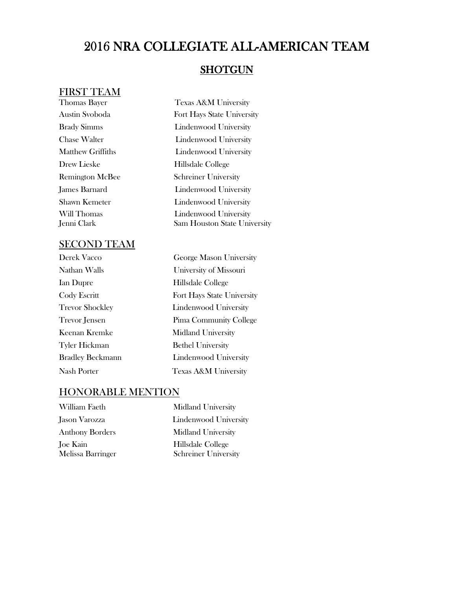### **SHOTGUN**

### FIRST TEAM

Drew Lieske Hillsdale College

#### SECOND TEAM

| Derek Vacco             |
|-------------------------|
| Nathan Walls            |
| Ian Dupre               |
| Cody Escritt            |
| Trevor Shockley         |
| Trevor Jensen           |
| Keenan Kremke           |
| Tyler Hickman           |
| <b>Bradley Beckmann</b> |
| Nash Porter             |

Thomas Bayer Texas A&M University Austin Svoboda Fort Hays State University Brady Simms Lindenwood University Chase Walter **Lindenwood University** Matthew Griffiths **Lindenwood University** Remington McBee Schreiner University James Barnard Lindenwood University Shawn Kemeter **Lindenwood University** Will Thomas **Lindenwood University** Jenni Clark Sam Houston State University

> George Mason University University of Missouri Hillsdale College Fort Hays State University Lindenwood University Pima Community College Midland University Bethel University Lindenwood University Texas A&M University

| William Faeth                 | Midland University                               |
|-------------------------------|--------------------------------------------------|
| Jason Varozza                 | Lindenwood University                            |
| <b>Anthony Borders</b>        | <b>Midland University</b>                        |
| Joe Kain<br>Melissa Barringer | Hillsdale College<br><b>Schreiner University</b> |